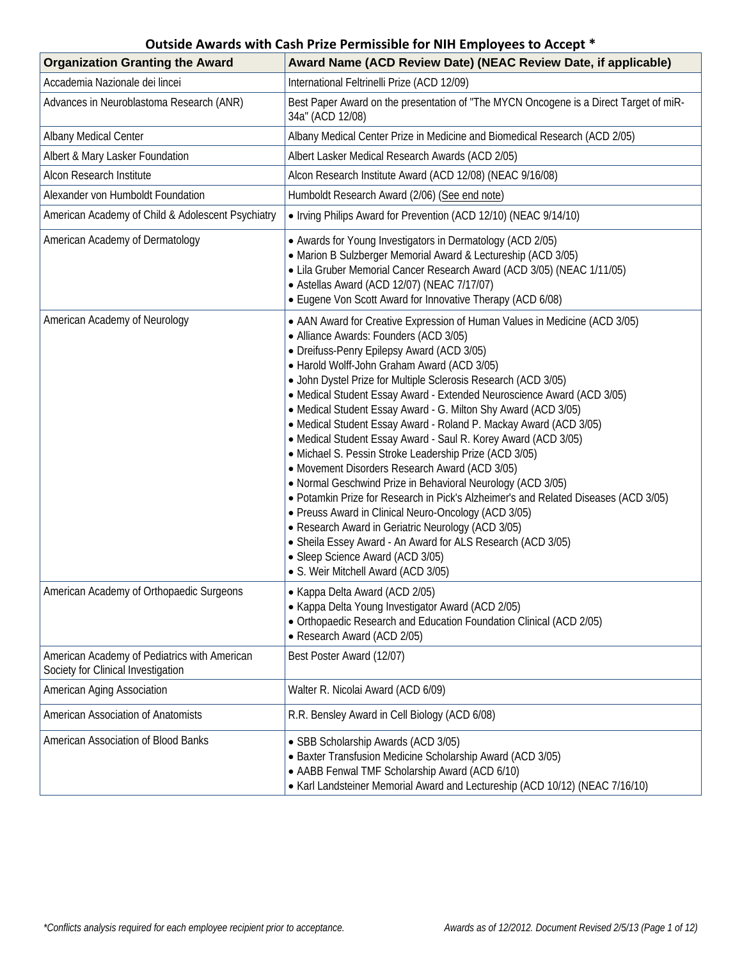| <b>Organization Granting the Award</b>                                             | Award Name (ACD Review Date) (NEAC Review Date, if applicable)                                                                                                                                                                                                                                                                                                                                                                                                                                                                                                                                                                                                                                                                                                                                                                                                                                                                                                                                                                                                                                   |
|------------------------------------------------------------------------------------|--------------------------------------------------------------------------------------------------------------------------------------------------------------------------------------------------------------------------------------------------------------------------------------------------------------------------------------------------------------------------------------------------------------------------------------------------------------------------------------------------------------------------------------------------------------------------------------------------------------------------------------------------------------------------------------------------------------------------------------------------------------------------------------------------------------------------------------------------------------------------------------------------------------------------------------------------------------------------------------------------------------------------------------------------------------------------------------------------|
| Accademia Nazionale dei lincei                                                     | International Feltrinelli Prize (ACD 12/09)                                                                                                                                                                                                                                                                                                                                                                                                                                                                                                                                                                                                                                                                                                                                                                                                                                                                                                                                                                                                                                                      |
| Advances in Neuroblastoma Research (ANR)                                           | Best Paper Award on the presentation of "The MYCN Oncogene is a Direct Target of miR-<br>34a" (ACD 12/08)                                                                                                                                                                                                                                                                                                                                                                                                                                                                                                                                                                                                                                                                                                                                                                                                                                                                                                                                                                                        |
| Albany Medical Center                                                              | Albany Medical Center Prize in Medicine and Biomedical Research (ACD 2/05)                                                                                                                                                                                                                                                                                                                                                                                                                                                                                                                                                                                                                                                                                                                                                                                                                                                                                                                                                                                                                       |
| Albert & Mary Lasker Foundation                                                    | Albert Lasker Medical Research Awards (ACD 2/05)                                                                                                                                                                                                                                                                                                                                                                                                                                                                                                                                                                                                                                                                                                                                                                                                                                                                                                                                                                                                                                                 |
| Alcon Research Institute                                                           | Alcon Research Institute Award (ACD 12/08) (NEAC 9/16/08)                                                                                                                                                                                                                                                                                                                                                                                                                                                                                                                                                                                                                                                                                                                                                                                                                                                                                                                                                                                                                                        |
| Alexander von Humboldt Foundation                                                  | Humboldt Research Award (2/06) (See end note)                                                                                                                                                                                                                                                                                                                                                                                                                                                                                                                                                                                                                                                                                                                                                                                                                                                                                                                                                                                                                                                    |
| American Academy of Child & Adolescent Psychiatry                                  | • Irving Philips Award for Prevention (ACD 12/10) (NEAC 9/14/10)                                                                                                                                                                                                                                                                                                                                                                                                                                                                                                                                                                                                                                                                                                                                                                                                                                                                                                                                                                                                                                 |
| American Academy of Dermatology                                                    | • Awards for Young Investigators in Dermatology (ACD 2/05)<br>• Marion B Sulzberger Memorial Award & Lectureship (ACD 3/05)<br>• Lila Gruber Memorial Cancer Research Award (ACD 3/05) (NEAC 1/11/05)<br>• Astellas Award (ACD 12/07) (NEAC 7/17/07)<br>• Eugene Von Scott Award for Innovative Therapy (ACD 6/08)                                                                                                                                                                                                                                                                                                                                                                                                                                                                                                                                                                                                                                                                                                                                                                               |
| American Academy of Neurology                                                      | • AAN Award for Creative Expression of Human Values in Medicine (ACD 3/05)<br>• Alliance Awards: Founders (ACD 3/05)<br>• Dreifuss-Penry Epilepsy Award (ACD 3/05)<br>• Harold Wolff-John Graham Award (ACD 3/05)<br>• John Dystel Prize for Multiple Sclerosis Research (ACD 3/05)<br>• Medical Student Essay Award - Extended Neuroscience Award (ACD 3/05)<br>• Medical Student Essay Award - G. Milton Shy Award (ACD 3/05)<br>• Medical Student Essay Award - Roland P. Mackay Award (ACD 3/05)<br>• Medical Student Essay Award - Saul R. Korey Award (ACD 3/05)<br>• Michael S. Pessin Stroke Leadership Prize (ACD 3/05)<br>• Movement Disorders Research Award (ACD 3/05)<br>• Normal Geschwind Prize in Behavioral Neurology (ACD 3/05)<br>• Potamkin Prize for Research in Pick's Alzheimer's and Related Diseases (ACD 3/05)<br>• Preuss Award in Clinical Neuro-Oncology (ACD 3/05)<br>• Research Award in Geriatric Neurology (ACD 3/05)<br>• Sheila Essey Award - An Award for ALS Research (ACD 3/05)<br>• Sleep Science Award (ACD 3/05)<br>• S. Weir Mitchell Award (ACD 3/05) |
| American Academy of Orthopaedic Surgeons                                           | • Kappa Delta Award (ACD 2/05)<br>• Kappa Delta Young Investigator Award (ACD 2/05)<br>• Orthopaedic Research and Education Foundation Clinical (ACD 2/05)<br>• Research Award (ACD 2/05)                                                                                                                                                                                                                                                                                                                                                                                                                                                                                                                                                                                                                                                                                                                                                                                                                                                                                                        |
| American Academy of Pediatrics with American<br>Society for Clinical Investigation | Best Poster Award (12/07)                                                                                                                                                                                                                                                                                                                                                                                                                                                                                                                                                                                                                                                                                                                                                                                                                                                                                                                                                                                                                                                                        |
| American Aging Association                                                         | Walter R. Nicolai Award (ACD 6/09)                                                                                                                                                                                                                                                                                                                                                                                                                                                                                                                                                                                                                                                                                                                                                                                                                                                                                                                                                                                                                                                               |
| American Association of Anatomists                                                 | R.R. Bensley Award in Cell Biology (ACD 6/08)                                                                                                                                                                                                                                                                                                                                                                                                                                                                                                                                                                                                                                                                                                                                                                                                                                                                                                                                                                                                                                                    |
| American Association of Blood Banks                                                | · SBB Scholarship Awards (ACD 3/05)<br>• Baxter Transfusion Medicine Scholarship Award (ACD 3/05)<br>• AABB Fenwal TMF Scholarship Award (ACD 6/10)<br>• Karl Landsteiner Memorial Award and Lectureship (ACD 10/12) (NEAC 7/16/10)                                                                                                                                                                                                                                                                                                                                                                                                                                                                                                                                                                                                                                                                                                                                                                                                                                                              |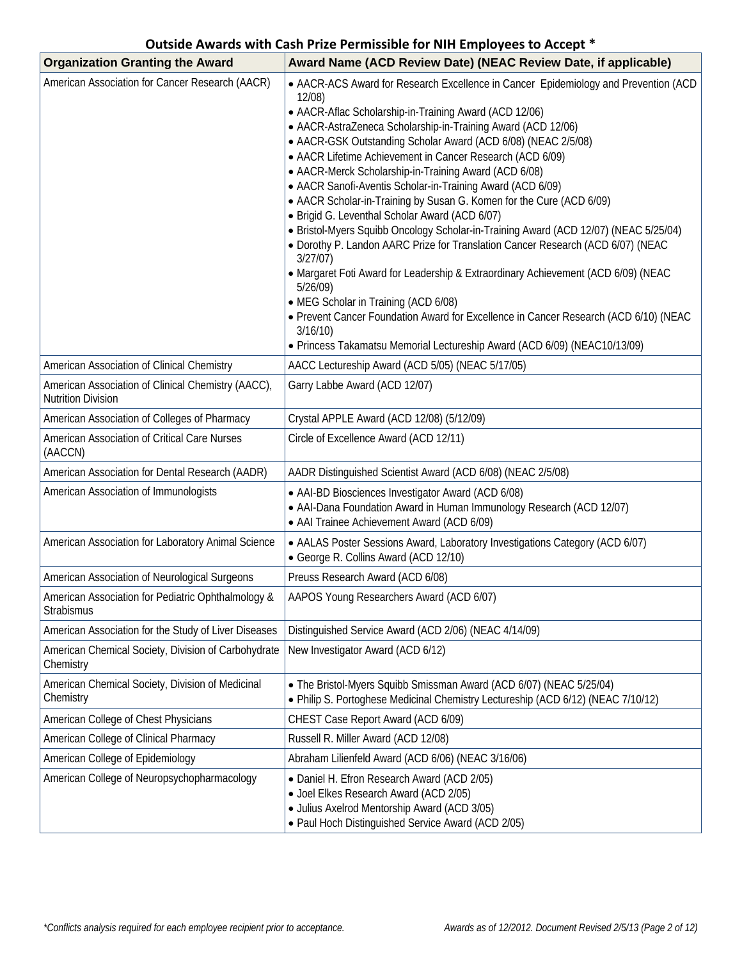| <b>Organization Granting the Award</b>                                          | Award Name (ACD Review Date) (NEAC Review Date, if applicable)                                                                                                                                                                                                                                                                                                                                                                                                                                                                                                                                                                                                                                                                                                                                                                                                                                                                                                                                                                                                                                                        |
|---------------------------------------------------------------------------------|-----------------------------------------------------------------------------------------------------------------------------------------------------------------------------------------------------------------------------------------------------------------------------------------------------------------------------------------------------------------------------------------------------------------------------------------------------------------------------------------------------------------------------------------------------------------------------------------------------------------------------------------------------------------------------------------------------------------------------------------------------------------------------------------------------------------------------------------------------------------------------------------------------------------------------------------------------------------------------------------------------------------------------------------------------------------------------------------------------------------------|
| American Association for Cancer Research (AACR)                                 | • AACR-ACS Award for Research Excellence in Cancer Epidemiology and Prevention (ACD<br>12/08)<br>• AACR-Aflac Scholarship-in-Training Award (ACD 12/06)<br>• AACR-AstraZeneca Scholarship-in-Training Award (ACD 12/06)<br>• AACR-GSK Outstanding Scholar Award (ACD 6/08) (NEAC 2/5/08)<br>• AACR Lifetime Achievement in Cancer Research (ACD 6/09)<br>• AACR-Merck Scholarship-in-Training Award (ACD 6/08)<br>• AACR Sanofi-Aventis Scholar-in-Training Award (ACD 6/09)<br>• AACR Scholar-in-Training by Susan G. Komen for the Cure (ACD 6/09)<br>• Brigid G. Leventhal Scholar Award (ACD 6/07)<br>· Bristol-Myers Squibb Oncology Scholar-in-Training Award (ACD 12/07) (NEAC 5/25/04)<br>. Dorothy P. Landon AARC Prize for Translation Cancer Research (ACD 6/07) (NEAC<br>3/27/07)<br>• Margaret Foti Award for Leadership & Extraordinary Achievement (ACD 6/09) (NEAC<br>5/26/09<br>• MEG Scholar in Training (ACD 6/08)<br>• Prevent Cancer Foundation Award for Excellence in Cancer Research (ACD 6/10) (NEAC<br>3/16/10<br>• Princess Takamatsu Memorial Lectureship Award (ACD 6/09) (NEAC10/13/09) |
| American Association of Clinical Chemistry                                      | AACC Lectureship Award (ACD 5/05) (NEAC 5/17/05)                                                                                                                                                                                                                                                                                                                                                                                                                                                                                                                                                                                                                                                                                                                                                                                                                                                                                                                                                                                                                                                                      |
| American Association of Clinical Chemistry (AACC),<br><b>Nutrition Division</b> | Garry Labbe Award (ACD 12/07)                                                                                                                                                                                                                                                                                                                                                                                                                                                                                                                                                                                                                                                                                                                                                                                                                                                                                                                                                                                                                                                                                         |
| American Association of Colleges of Pharmacy                                    | Crystal APPLE Award (ACD 12/08) (5/12/09)                                                                                                                                                                                                                                                                                                                                                                                                                                                                                                                                                                                                                                                                                                                                                                                                                                                                                                                                                                                                                                                                             |
| American Association of Critical Care Nurses<br>(AACCN)                         | Circle of Excellence Award (ACD 12/11)                                                                                                                                                                                                                                                                                                                                                                                                                                                                                                                                                                                                                                                                                                                                                                                                                                                                                                                                                                                                                                                                                |
| American Association for Dental Research (AADR)                                 | AADR Distinguished Scientist Award (ACD 6/08) (NEAC 2/5/08)                                                                                                                                                                                                                                                                                                                                                                                                                                                                                                                                                                                                                                                                                                                                                                                                                                                                                                                                                                                                                                                           |
| American Association of Immunologists                                           | • AAI-BD Biosciences Investigator Award (ACD 6/08)<br>• AAI-Dana Foundation Award in Human Immunology Research (ACD 12/07)<br>• AAI Trainee Achievement Award (ACD 6/09)                                                                                                                                                                                                                                                                                                                                                                                                                                                                                                                                                                                                                                                                                                                                                                                                                                                                                                                                              |
| American Association for Laboratory Animal Science                              | • AALAS Poster Sessions Award, Laboratory Investigations Category (ACD 6/07)<br>• George R. Collins Award (ACD 12/10)                                                                                                                                                                                                                                                                                                                                                                                                                                                                                                                                                                                                                                                                                                                                                                                                                                                                                                                                                                                                 |
| American Association of Neurological Surgeons                                   | Preuss Research Award (ACD 6/08)                                                                                                                                                                                                                                                                                                                                                                                                                                                                                                                                                                                                                                                                                                                                                                                                                                                                                                                                                                                                                                                                                      |
| American Association for Pediatric Ophthalmology &<br><b>Strabismus</b>         | AAPOS Young Researchers Award (ACD 6/07)                                                                                                                                                                                                                                                                                                                                                                                                                                                                                                                                                                                                                                                                                                                                                                                                                                                                                                                                                                                                                                                                              |
| American Association for the Study of Liver Diseases                            | Distinguished Service Award (ACD 2/06) (NEAC 4/14/09)                                                                                                                                                                                                                                                                                                                                                                                                                                                                                                                                                                                                                                                                                                                                                                                                                                                                                                                                                                                                                                                                 |
| American Chemical Society, Division of Carbohydrate<br>Chemistry                | New Investigator Award (ACD 6/12)                                                                                                                                                                                                                                                                                                                                                                                                                                                                                                                                                                                                                                                                                                                                                                                                                                                                                                                                                                                                                                                                                     |
| American Chemical Society, Division of Medicinal<br>Chemistry                   | • The Bristol-Myers Squibb Smissman Award (ACD 6/07) (NEAC 5/25/04)<br>. Philip S. Portoghese Medicinal Chemistry Lectureship (ACD 6/12) (NEAC 7/10/12)                                                                                                                                                                                                                                                                                                                                                                                                                                                                                                                                                                                                                                                                                                                                                                                                                                                                                                                                                               |
| American College of Chest Physicians                                            | CHEST Case Report Award (ACD 6/09)                                                                                                                                                                                                                                                                                                                                                                                                                                                                                                                                                                                                                                                                                                                                                                                                                                                                                                                                                                                                                                                                                    |
| American College of Clinical Pharmacy                                           | Russell R. Miller Award (ACD 12/08)                                                                                                                                                                                                                                                                                                                                                                                                                                                                                                                                                                                                                                                                                                                                                                                                                                                                                                                                                                                                                                                                                   |
| American College of Epidemiology                                                | Abraham Lilienfeld Award (ACD 6/06) (NEAC 3/16/06)                                                                                                                                                                                                                                                                                                                                                                                                                                                                                                                                                                                                                                                                                                                                                                                                                                                                                                                                                                                                                                                                    |
| American College of Neuropsychopharmacology                                     | · Daniel H. Efron Research Award (ACD 2/05)<br>• Joel Elkes Research Award (ACD 2/05)<br>· Julius Axelrod Mentorship Award (ACD 3/05)<br>• Paul Hoch Distinguished Service Award (ACD 2/05)                                                                                                                                                                                                                                                                                                                                                                                                                                                                                                                                                                                                                                                                                                                                                                                                                                                                                                                           |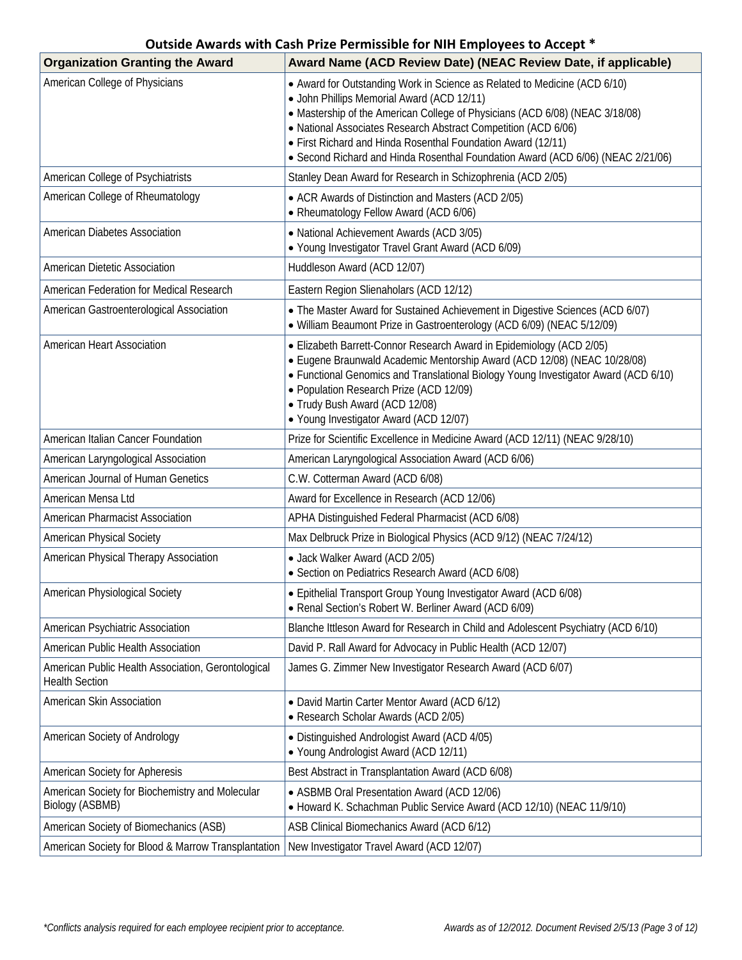| <b>Organization Granting the Award</b>                                      | Award Name (ACD Review Date) (NEAC Review Date, if applicable)                                                                                                                                                                                                                                                                                                                                                               |
|-----------------------------------------------------------------------------|------------------------------------------------------------------------------------------------------------------------------------------------------------------------------------------------------------------------------------------------------------------------------------------------------------------------------------------------------------------------------------------------------------------------------|
| American College of Physicians                                              | • Award for Outstanding Work in Science as Related to Medicine (ACD 6/10)<br>• John Phillips Memorial Award (ACD 12/11)<br>• Mastership of the American College of Physicians (ACD 6/08) (NEAC 3/18/08)<br>• National Associates Research Abstract Competition (ACD 6/06)<br>• First Richard and Hinda Rosenthal Foundation Award (12/11)<br>• Second Richard and Hinda Rosenthal Foundation Award (ACD 6/06) (NEAC 2/21/06) |
| American College of Psychiatrists                                           | Stanley Dean Award for Research in Schizophrenia (ACD 2/05)                                                                                                                                                                                                                                                                                                                                                                  |
| American College of Rheumatology                                            | • ACR Awards of Distinction and Masters (ACD 2/05)<br>• Rheumatology Fellow Award (ACD 6/06)                                                                                                                                                                                                                                                                                                                                 |
| American Diabetes Association                                               | • National Achievement Awards (ACD 3/05)<br>• Young Investigator Travel Grant Award (ACD 6/09)                                                                                                                                                                                                                                                                                                                               |
| American Dietetic Association                                               | Huddleson Award (ACD 12/07)                                                                                                                                                                                                                                                                                                                                                                                                  |
| American Federation for Medical Research                                    | Eastern Region Slienaholars (ACD 12/12)                                                                                                                                                                                                                                                                                                                                                                                      |
| American Gastroenterological Association                                    | • The Master Award for Sustained Achievement in Digestive Sciences (ACD 6/07)<br>· William Beaumont Prize in Gastroenterology (ACD 6/09) (NEAC 5/12/09)                                                                                                                                                                                                                                                                      |
| American Heart Association                                                  | • Elizabeth Barrett-Connor Research Award in Epidemiology (ACD 2/05)<br>· Eugene Braunwald Academic Mentorship Award (ACD 12/08) (NEAC 10/28/08)<br>• Functional Genomics and Translational Biology Young Investigator Award (ACD 6/10)<br>• Population Research Prize (ACD 12/09)<br>• Trudy Bush Award (ACD 12/08)<br>• Young Investigator Award (ACD 12/07)                                                               |
| American Italian Cancer Foundation                                          | Prize for Scientific Excellence in Medicine Award (ACD 12/11) (NEAC 9/28/10)                                                                                                                                                                                                                                                                                                                                                 |
| American Laryngological Association                                         | American Laryngological Association Award (ACD 6/06)                                                                                                                                                                                                                                                                                                                                                                         |
| American Journal of Human Genetics                                          | C.W. Cotterman Award (ACD 6/08)                                                                                                                                                                                                                                                                                                                                                                                              |
| American Mensa Ltd                                                          | Award for Excellence in Research (ACD 12/06)                                                                                                                                                                                                                                                                                                                                                                                 |
| American Pharmacist Association                                             | APHA Distinguished Federal Pharmacist (ACD 6/08)                                                                                                                                                                                                                                                                                                                                                                             |
| American Physical Society                                                   | Max Delbruck Prize in Biological Physics (ACD 9/12) (NEAC 7/24/12)                                                                                                                                                                                                                                                                                                                                                           |
| American Physical Therapy Association                                       | · Jack Walker Award (ACD 2/05)<br>· Section on Pediatrics Research Award (ACD 6/08)                                                                                                                                                                                                                                                                                                                                          |
| American Physiological Society                                              | • Epithelial Transport Group Young Investigator Award (ACD 6/08)<br>• Renal Section's Robert W. Berliner Award (ACD 6/09)                                                                                                                                                                                                                                                                                                    |
| American Psychiatric Association                                            | Blanche Ittleson Award for Research in Child and Adolescent Psychiatry (ACD 6/10)                                                                                                                                                                                                                                                                                                                                            |
| American Public Health Association                                          | David P. Rall Award for Advocacy in Public Health (ACD 12/07)                                                                                                                                                                                                                                                                                                                                                                |
| American Public Health Association, Gerontological<br><b>Health Section</b> | James G. Zimmer New Investigator Research Award (ACD 6/07)                                                                                                                                                                                                                                                                                                                                                                   |
| American Skin Association                                                   | • David Martin Carter Mentor Award (ACD 6/12)<br>• Research Scholar Awards (ACD 2/05)                                                                                                                                                                                                                                                                                                                                        |
| American Society of Andrology                                               | · Distinguished Andrologist Award (ACD 4/05)<br>• Young Andrologist Award (ACD 12/11)                                                                                                                                                                                                                                                                                                                                        |
| American Society for Apheresis                                              | Best Abstract in Transplantation Award (ACD 6/08)                                                                                                                                                                                                                                                                                                                                                                            |
| American Society for Biochemistry and Molecular<br>Biology (ASBMB)          | • ASBMB Oral Presentation Award (ACD 12/06)<br>• Howard K. Schachman Public Service Award (ACD 12/10) (NEAC 11/9/10)                                                                                                                                                                                                                                                                                                         |
| American Society of Biomechanics (ASB)                                      | ASB Clinical Biomechanics Award (ACD 6/12)                                                                                                                                                                                                                                                                                                                                                                                   |
| American Society for Blood & Marrow Transplantation                         | New Investigator Travel Award (ACD 12/07)                                                                                                                                                                                                                                                                                                                                                                                    |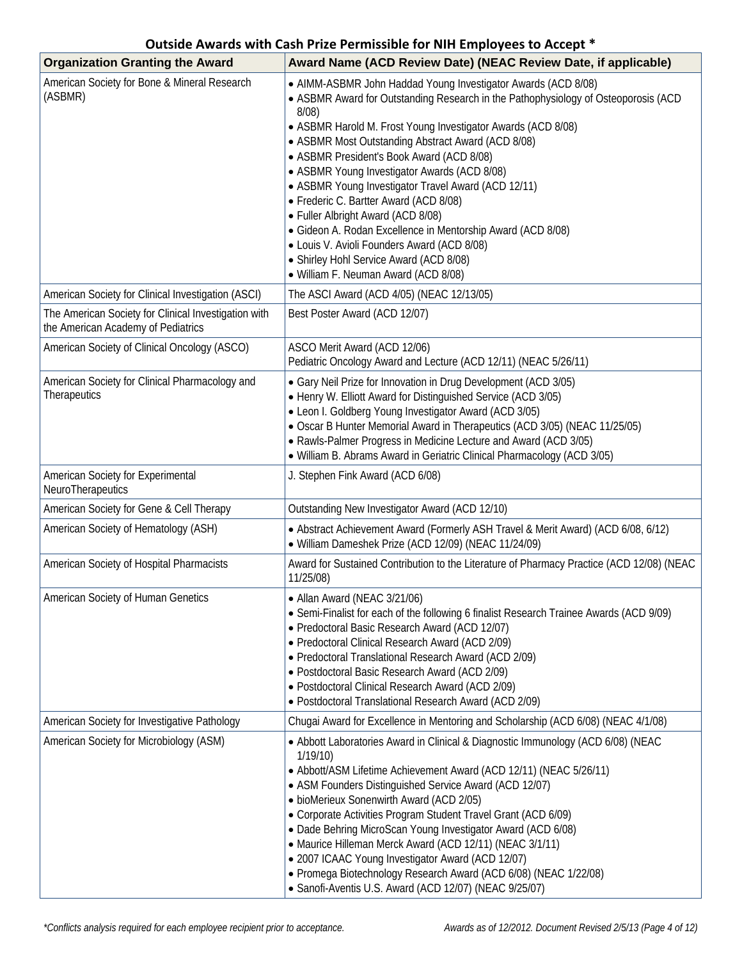| <b>Organization Granting the Award</b>                                                     | Award Name (ACD Review Date) (NEAC Review Date, if applicable)                                                                                                                                                                                                                                                                                                                                                                                                                                                                                                                                                                                                                                                             |
|--------------------------------------------------------------------------------------------|----------------------------------------------------------------------------------------------------------------------------------------------------------------------------------------------------------------------------------------------------------------------------------------------------------------------------------------------------------------------------------------------------------------------------------------------------------------------------------------------------------------------------------------------------------------------------------------------------------------------------------------------------------------------------------------------------------------------------|
| American Society for Bone & Mineral Research<br>(ASBMR)                                    | • AIMM-ASBMR John Haddad Young Investigator Awards (ACD 8/08)<br>• ASBMR Award for Outstanding Research in the Pathophysiology of Osteoporosis (ACD<br>$8/08$ )<br>• ASBMR Harold M. Frost Young Investigator Awards (ACD 8/08)<br>• ASBMR Most Outstanding Abstract Award (ACD 8/08)<br>• ASBMR President's Book Award (ACD 8/08)<br>• ASBMR Young Investigator Awards (ACD 8/08)<br>• ASBMR Young Investigator Travel Award (ACD 12/11)<br>• Frederic C. Bartter Award (ACD 8/08)<br>• Fuller Albright Award (ACD 8/08)<br>• Gideon A. Rodan Excellence in Mentorship Award (ACD 8/08)<br>• Louis V. Avioli Founders Award (ACD 8/08)<br>• Shirley Hohl Service Award (ACD 8/08)<br>• William F. Neuman Award (ACD 8/08) |
| American Society for Clinical Investigation (ASCI)                                         | The ASCI Award (ACD 4/05) (NEAC 12/13/05)                                                                                                                                                                                                                                                                                                                                                                                                                                                                                                                                                                                                                                                                                  |
| The American Society for Clinical Investigation with<br>the American Academy of Pediatrics | Best Poster Award (ACD 12/07)                                                                                                                                                                                                                                                                                                                                                                                                                                                                                                                                                                                                                                                                                              |
| American Society of Clinical Oncology (ASCO)                                               | ASCO Merit Award (ACD 12/06)<br>Pediatric Oncology Award and Lecture (ACD 12/11) (NEAC 5/26/11)                                                                                                                                                                                                                                                                                                                                                                                                                                                                                                                                                                                                                            |
| American Society for Clinical Pharmacology and<br>Therapeutics                             | • Gary Neil Prize for Innovation in Drug Development (ACD 3/05)<br>• Henry W. Elliott Award for Distinguished Service (ACD 3/05)<br>• Leon I. Goldberg Young Investigator Award (ACD 3/05)<br>• Oscar B Hunter Memorial Award in Therapeutics (ACD 3/05) (NEAC 11/25/05)<br>• Rawls-Palmer Progress in Medicine Lecture and Award (ACD 3/05)<br>· William B. Abrams Award in Geriatric Clinical Pharmacology (ACD 3/05)                                                                                                                                                                                                                                                                                                    |
| American Society for Experimental<br>NeuroTherapeutics                                     | J. Stephen Fink Award (ACD 6/08)                                                                                                                                                                                                                                                                                                                                                                                                                                                                                                                                                                                                                                                                                           |
| American Society for Gene & Cell Therapy                                                   | Outstanding New Investigator Award (ACD 12/10)                                                                                                                                                                                                                                                                                                                                                                                                                                                                                                                                                                                                                                                                             |
| American Society of Hematology (ASH)                                                       | • Abstract Achievement Award (Formerly ASH Travel & Merit Award) (ACD 6/08, 6/12)<br>• William Dameshek Prize (ACD 12/09) (NEAC 11/24/09)                                                                                                                                                                                                                                                                                                                                                                                                                                                                                                                                                                                  |
| American Society of Hospital Pharmacists                                                   | Award for Sustained Contribution to the Literature of Pharmacy Practice (ACD 12/08) (NEAC<br>11/25/08)                                                                                                                                                                                                                                                                                                                                                                                                                                                                                                                                                                                                                     |
| American Society of Human Genetics                                                         | • Allan Award (NEAC 3/21/06)<br>• Semi-Finalist for each of the following 6 finalist Research Trainee Awards (ACD 9/09)<br>• Predoctoral Basic Research Award (ACD 12/07)<br>· Predoctoral Clinical Research Award (ACD 2/09)<br>• Predoctoral Translational Research Award (ACD 2/09)<br>• Postdoctoral Basic Research Award (ACD 2/09)<br>• Postdoctoral Clinical Research Award (ACD 2/09)<br>· Postdoctoral Translational Research Award (ACD 2/09)                                                                                                                                                                                                                                                                    |
| American Society for Investigative Pathology                                               | Chugai Award for Excellence in Mentoring and Scholarship (ACD 6/08) (NEAC 4/1/08)                                                                                                                                                                                                                                                                                                                                                                                                                                                                                                                                                                                                                                          |
| American Society for Microbiology (ASM)                                                    | • Abbott Laboratories Award in Clinical & Diagnostic Immunology (ACD 6/08) (NEAC<br>1/19/10<br>• Abbott/ASM Lifetime Achievement Award (ACD 12/11) (NEAC 5/26/11)<br>• ASM Founders Distinguished Service Award (ACD 12/07)<br>· bioMerieux Sonenwirth Award (ACD 2/05)<br>• Corporate Activities Program Student Travel Grant (ACD 6/09)<br>• Dade Behring MicroScan Young Investigator Award (ACD 6/08)<br>• Maurice Hilleman Merck Award (ACD 12/11) (NEAC 3/1/11)<br>• 2007 ICAAC Young Investigator Award (ACD 12/07)<br>• Promega Biotechnology Research Award (ACD 6/08) (NEAC 1/22/08)<br>• Sanofi-Aventis U.S. Award (ACD 12/07) (NEAC 9/25/07)                                                                   |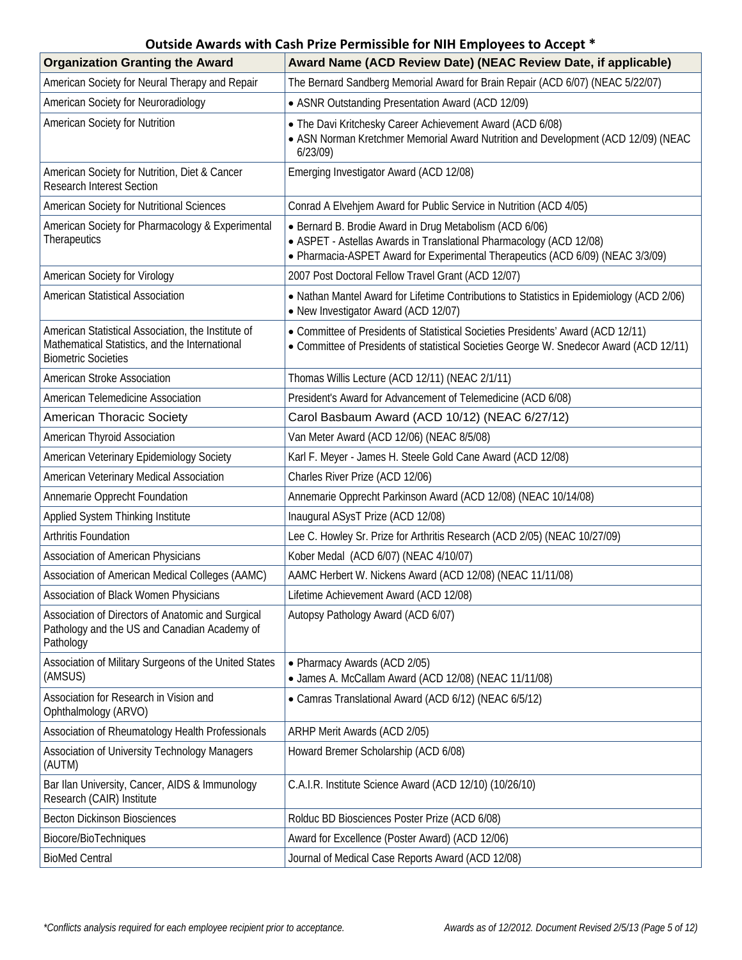| <b>Organization Granting the Award</b>                                                                                             | Award Name (ACD Review Date) (NEAC Review Date, if applicable)                                                                                                                                                   |
|------------------------------------------------------------------------------------------------------------------------------------|------------------------------------------------------------------------------------------------------------------------------------------------------------------------------------------------------------------|
| American Society for Neural Therapy and Repair                                                                                     | The Bernard Sandberg Memorial Award for Brain Repair (ACD 6/07) (NEAC 5/22/07)                                                                                                                                   |
| American Society for Neuroradiology                                                                                                | • ASNR Outstanding Presentation Award (ACD 12/09)                                                                                                                                                                |
| American Society for Nutrition                                                                                                     | . The Davi Kritchesky Career Achievement Award (ACD 6/08)<br>• ASN Norman Kretchmer Memorial Award Nutrition and Development (ACD 12/09) (NEAC<br>6/23/09                                                        |
| American Society for Nutrition, Diet & Cancer<br><b>Research Interest Section</b>                                                  | Emerging Investigator Award (ACD 12/08)                                                                                                                                                                          |
| American Society for Nutritional Sciences                                                                                          | Conrad A Elvehjem Award for Public Service in Nutrition (ACD 4/05)                                                                                                                                               |
| American Society for Pharmacology & Experimental<br>Therapeutics                                                                   | • Bernard B. Brodie Award in Drug Metabolism (ACD 6/06)<br>• ASPET - Astellas Awards in Translational Pharmacology (ACD 12/08)<br>• Pharmacia-ASPET Award for Experimental Therapeutics (ACD 6/09) (NEAC 3/3/09) |
| American Society for Virology                                                                                                      | 2007 Post Doctoral Fellow Travel Grant (ACD 12/07)                                                                                                                                                               |
| American Statistical Association                                                                                                   | • Nathan Mantel Award for Lifetime Contributions to Statistics in Epidemiology (ACD 2/06)<br>• New Investigator Award (ACD 12/07)                                                                                |
| American Statistical Association, the Institute of<br>Mathematical Statistics, and the International<br><b>Biometric Societies</b> | • Committee of Presidents of Statistical Societies Presidents' Award (ACD 12/11)<br>• Committee of Presidents of statistical Societies George W. Snedecor Award (ACD 12/11)                                      |
| American Stroke Association                                                                                                        | Thomas Willis Lecture (ACD 12/11) (NEAC 2/1/11)                                                                                                                                                                  |
| American Telemedicine Association                                                                                                  | President's Award for Advancement of Telemedicine (ACD 6/08)                                                                                                                                                     |
| American Thoracic Society                                                                                                          | Carol Basbaum Award (ACD 10/12) (NEAC 6/27/12)                                                                                                                                                                   |
| American Thyroid Association                                                                                                       | Van Meter Award (ACD 12/06) (NEAC 8/5/08)                                                                                                                                                                        |
| American Veterinary Epidemiology Society                                                                                           | Karl F. Meyer - James H. Steele Gold Cane Award (ACD 12/08)                                                                                                                                                      |
| American Veterinary Medical Association                                                                                            | Charles River Prize (ACD 12/06)                                                                                                                                                                                  |
| Annemarie Opprecht Foundation                                                                                                      | Annemarie Opprecht Parkinson Award (ACD 12/08) (NEAC 10/14/08)                                                                                                                                                   |
| Applied System Thinking Institute                                                                                                  | Inaugural ASysT Prize (ACD 12/08)                                                                                                                                                                                |
| <b>Arthritis Foundation</b>                                                                                                        | Lee C. Howley Sr. Prize for Arthritis Research (ACD 2/05) (NEAC 10/27/09)                                                                                                                                        |
| Association of American Physicians                                                                                                 | Kober Medal (ACD 6/07) (NEAC 4/10/07)                                                                                                                                                                            |
| Association of American Medical Colleges (AAMC)                                                                                    | AAMC Herbert W. Nickens Award (ACD 12/08) (NEAC 11/11/08)                                                                                                                                                        |
| Association of Black Women Physicians                                                                                              | Lifetime Achievement Award (ACD 12/08)                                                                                                                                                                           |
| Association of Directors of Anatomic and Surgical<br>Pathology and the US and Canadian Academy of<br>Pathology                     | Autopsy Pathology Award (ACD 6/07)                                                                                                                                                                               |
| Association of Military Surgeons of the United States<br>(AMSUS)                                                                   | • Pharmacy Awards (ACD 2/05)<br>• James A. McCallam Award (ACD 12/08) (NEAC 11/11/08)                                                                                                                            |
| Association for Research in Vision and<br>Ophthalmology (ARVO)                                                                     | • Camras Translational Award (ACD 6/12) (NEAC 6/5/12)                                                                                                                                                            |
| Association of Rheumatology Health Professionals                                                                                   | ARHP Merit Awards (ACD 2/05)                                                                                                                                                                                     |
| Association of University Technology Managers<br>(AUTM)                                                                            | Howard Bremer Scholarship (ACD 6/08)                                                                                                                                                                             |
| Bar Ilan University, Cancer, AIDS & Immunology<br>Research (CAIR) Institute                                                        | C.A.I.R. Institute Science Award (ACD 12/10) (10/26/10)                                                                                                                                                          |
| <b>Becton Dickinson Biosciences</b>                                                                                                | Rolduc BD Biosciences Poster Prize (ACD 6/08)                                                                                                                                                                    |
| Biocore/BioTechniques                                                                                                              | Award for Excellence (Poster Award) (ACD 12/06)                                                                                                                                                                  |
| <b>BioMed Central</b>                                                                                                              | Journal of Medical Case Reports Award (ACD 12/08)                                                                                                                                                                |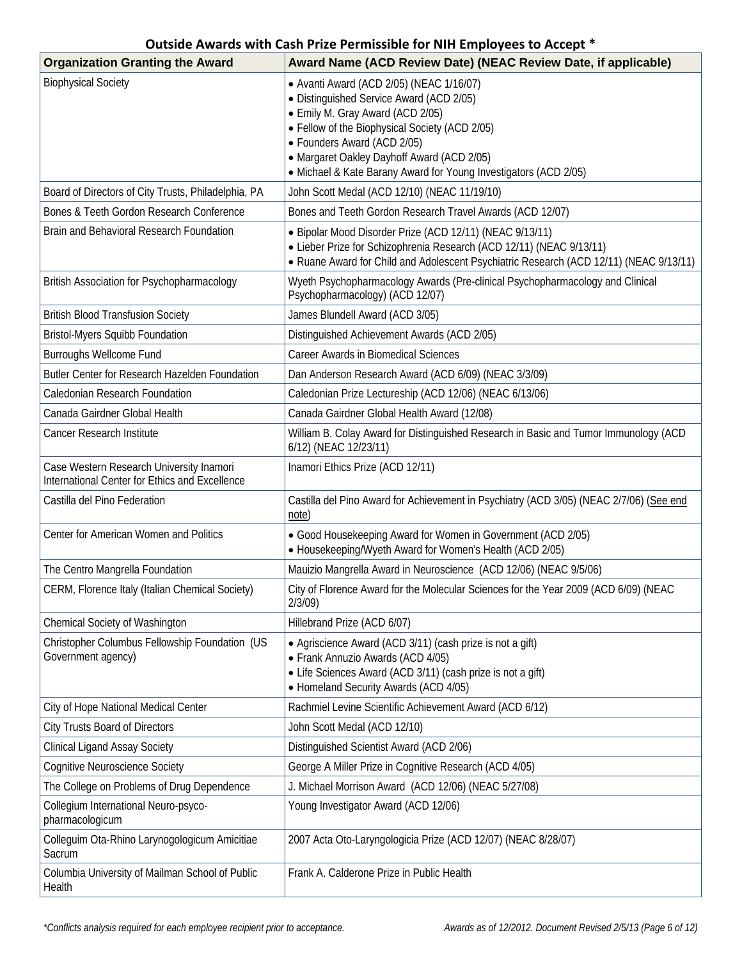| <b>Organization Granting the Award</b>                                                     | Award Name (ACD Review Date) (NEAC Review Date, if applicable)                                                                                                                                                                                                                                                              |
|--------------------------------------------------------------------------------------------|-----------------------------------------------------------------------------------------------------------------------------------------------------------------------------------------------------------------------------------------------------------------------------------------------------------------------------|
| <b>Biophysical Society</b>                                                                 | • Avanti Award (ACD 2/05) (NEAC 1/16/07)<br>• Distinguished Service Award (ACD 2/05)<br>• Emily M. Gray Award (ACD 2/05)<br>• Fellow of the Biophysical Society (ACD 2/05)<br>• Founders Award (ACD 2/05)<br>• Margaret Oakley Dayhoff Award (ACD 2/05)<br>• Michael & Kate Barany Award for Young Investigators (ACD 2/05) |
| Board of Directors of City Trusts, Philadelphia, PA                                        | John Scott Medal (ACD 12/10) (NEAC 11/19/10)                                                                                                                                                                                                                                                                                |
| Bones & Teeth Gordon Research Conference                                                   | Bones and Teeth Gordon Research Travel Awards (ACD 12/07)                                                                                                                                                                                                                                                                   |
| Brain and Behavioral Research Foundation                                                   | • Bipolar Mood Disorder Prize (ACD 12/11) (NEAC 9/13/11)<br>• Lieber Prize for Schizophrenia Research (ACD 12/11) (NEAC 9/13/11)<br>• Ruane Award for Child and Adolescent Psychiatric Research (ACD 12/11) (NEAC 9/13/11)                                                                                                  |
| British Association for Psychopharmacology                                                 | Wyeth Psychopharmacology Awards (Pre-clinical Psychopharmacology and Clinical<br>Psychopharmacology) (ACD 12/07)                                                                                                                                                                                                            |
| <b>British Blood Transfusion Society</b>                                                   | James Blundell Award (ACD 3/05)                                                                                                                                                                                                                                                                                             |
| <b>Bristol-Myers Squibb Foundation</b>                                                     | Distinguished Achievement Awards (ACD 2/05)                                                                                                                                                                                                                                                                                 |
| <b>Burroughs Wellcome Fund</b>                                                             | <b>Career Awards in Biomedical Sciences</b>                                                                                                                                                                                                                                                                                 |
| Butler Center for Research Hazelden Foundation                                             | Dan Anderson Research Award (ACD 6/09) (NEAC 3/3/09)                                                                                                                                                                                                                                                                        |
| Caledonian Research Foundation                                                             | Caledonian Prize Lectureship (ACD 12/06) (NEAC 6/13/06)                                                                                                                                                                                                                                                                     |
| Canada Gairdner Global Health                                                              | Canada Gairdner Global Health Award (12/08)                                                                                                                                                                                                                                                                                 |
| Cancer Research Institute                                                                  | William B. Colay Award for Distinguished Research in Basic and Tumor Immunology (ACD<br>6/12) (NEAC 12/23/11)                                                                                                                                                                                                               |
| Case Western Research University Inamori<br>International Center for Ethics and Excellence | Inamori Ethics Prize (ACD 12/11)                                                                                                                                                                                                                                                                                            |
| Castilla del Pino Federation                                                               | Castilla del Pino Award for Achievement in Psychiatry (ACD 3/05) (NEAC 2/7/06) (See end<br>note)                                                                                                                                                                                                                            |
| Center for American Women and Politics                                                     | • Good Housekeeping Award for Women in Government (ACD 2/05)<br>• Housekeeping/Wyeth Award for Women's Health (ACD 2/05)                                                                                                                                                                                                    |
| The Centro Mangrella Foundation                                                            | Mauizio Mangrella Award in Neuroscience (ACD 12/06) (NEAC 9/5/06)                                                                                                                                                                                                                                                           |
| CERM, Florence Italy (Italian Chemical Society)                                            | City of Florence Award for the Molecular Sciences for the Year 2009 (ACD 6/09) (NEAC<br>2/3/09                                                                                                                                                                                                                              |
| Chemical Society of Washington                                                             | Hillebrand Prize (ACD 6/07)                                                                                                                                                                                                                                                                                                 |
| Christopher Columbus Fellowship Foundation (US<br>Government agency)                       | • Agriscience Award (ACD 3/11) (cash prize is not a gift)<br>• Frank Annuzio Awards (ACD 4/05)<br>• Life Sciences Award (ACD 3/11) (cash prize is not a gift)<br>• Homeland Security Awards (ACD 4/05)                                                                                                                      |
| City of Hope National Medical Center                                                       | Rachmiel Levine Scientific Achievement Award (ACD 6/12)                                                                                                                                                                                                                                                                     |
| <b>City Trusts Board of Directors</b>                                                      | John Scott Medal (ACD 12/10)                                                                                                                                                                                                                                                                                                |
| <b>Clinical Ligand Assay Society</b>                                                       | Distinguished Scientist Award (ACD 2/06)                                                                                                                                                                                                                                                                                    |
| <b>Cognitive Neuroscience Society</b>                                                      | George A Miller Prize in Cognitive Research (ACD 4/05)                                                                                                                                                                                                                                                                      |
| The College on Problems of Drug Dependence                                                 | J. Michael Morrison Award (ACD 12/06) (NEAC 5/27/08)                                                                                                                                                                                                                                                                        |
| Collegium International Neuro-psyco-<br>pharmacologicum                                    | Young Investigator Award (ACD 12/06)                                                                                                                                                                                                                                                                                        |
| Colleguim Ota-Rhino Larynogologicum Amicitiae<br>Sacrum                                    | 2007 Acta Oto-Laryngologicia Prize (ACD 12/07) (NEAC 8/28/07)                                                                                                                                                                                                                                                               |
| Columbia University of Mailman School of Public<br>Health                                  | Frank A. Calderone Prize in Public Health                                                                                                                                                                                                                                                                                   |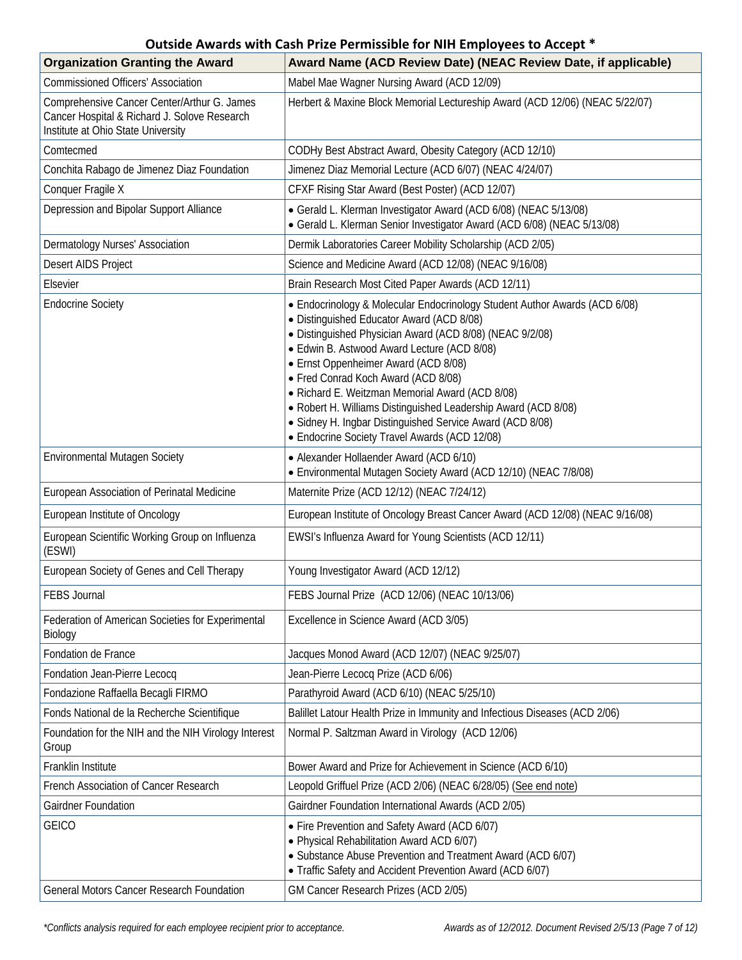| <b>Organization Granting the Award</b>                                                                                            | Award Name (ACD Review Date) (NEAC Review Date, if applicable)                                                                                                                                                                                                                                                                                                                                                                                                                                                                                       |
|-----------------------------------------------------------------------------------------------------------------------------------|------------------------------------------------------------------------------------------------------------------------------------------------------------------------------------------------------------------------------------------------------------------------------------------------------------------------------------------------------------------------------------------------------------------------------------------------------------------------------------------------------------------------------------------------------|
| <b>Commissioned Officers' Association</b>                                                                                         | Mabel Mae Wagner Nursing Award (ACD 12/09)                                                                                                                                                                                                                                                                                                                                                                                                                                                                                                           |
| Comprehensive Cancer Center/Arthur G. James<br>Cancer Hospital & Richard J. Solove Research<br>Institute at Ohio State University | Herbert & Maxine Block Memorial Lectureship Award (ACD 12/06) (NEAC 5/22/07)                                                                                                                                                                                                                                                                                                                                                                                                                                                                         |
| Comtecmed                                                                                                                         | CODHy Best Abstract Award, Obesity Category (ACD 12/10)                                                                                                                                                                                                                                                                                                                                                                                                                                                                                              |
| Conchita Rabago de Jimenez Diaz Foundation                                                                                        | Jimenez Diaz Memorial Lecture (ACD 6/07) (NEAC 4/24/07)                                                                                                                                                                                                                                                                                                                                                                                                                                                                                              |
| Conquer Fragile X                                                                                                                 | CFXF Rising Star Award (Best Poster) (ACD 12/07)                                                                                                                                                                                                                                                                                                                                                                                                                                                                                                     |
| Depression and Bipolar Support Alliance                                                                                           | • Gerald L. Klerman Investigator Award (ACD 6/08) (NEAC 5/13/08)<br>• Gerald L. Klerman Senior Investigator Award (ACD 6/08) (NEAC 5/13/08)                                                                                                                                                                                                                                                                                                                                                                                                          |
| Dermatology Nurses' Association                                                                                                   | Dermik Laboratories Career Mobility Scholarship (ACD 2/05)                                                                                                                                                                                                                                                                                                                                                                                                                                                                                           |
| Desert AIDS Project                                                                                                               | Science and Medicine Award (ACD 12/08) (NEAC 9/16/08)                                                                                                                                                                                                                                                                                                                                                                                                                                                                                                |
| Elsevier                                                                                                                          | Brain Research Most Cited Paper Awards (ACD 12/11)                                                                                                                                                                                                                                                                                                                                                                                                                                                                                                   |
| <b>Endocrine Society</b>                                                                                                          | • Endocrinology & Molecular Endocrinology Student Author Awards (ACD 6/08)<br>• Distinguished Educator Award (ACD 8/08)<br>• Distinguished Physician Award (ACD 8/08) (NEAC 9/2/08)<br>• Edwin B. Astwood Award Lecture (ACD 8/08)<br>• Ernst Oppenheimer Award (ACD 8/08)<br>• Fred Conrad Koch Award (ACD 8/08)<br>• Richard E. Weitzman Memorial Award (ACD 8/08)<br>• Robert H. Williams Distinguished Leadership Award (ACD 8/08)<br>• Sidney H. Ingbar Distinguished Service Award (ACD 8/08)<br>• Endocrine Society Travel Awards (ACD 12/08) |
| <b>Environmental Mutagen Society</b>                                                                                              | • Alexander Hollaender Award (ACD 6/10)<br>• Environmental Mutagen Society Award (ACD 12/10) (NEAC 7/8/08)                                                                                                                                                                                                                                                                                                                                                                                                                                           |
| European Association of Perinatal Medicine                                                                                        | Maternite Prize (ACD 12/12) (NEAC 7/24/12)                                                                                                                                                                                                                                                                                                                                                                                                                                                                                                           |
| European Institute of Oncology                                                                                                    | European Institute of Oncology Breast Cancer Award (ACD 12/08) (NEAC 9/16/08)                                                                                                                                                                                                                                                                                                                                                                                                                                                                        |
| European Scientific Working Group on Influenza<br>(ESWI)                                                                          | EWSI's Influenza Award for Young Scientists (ACD 12/11)                                                                                                                                                                                                                                                                                                                                                                                                                                                                                              |
| European Society of Genes and Cell Therapy                                                                                        | Young Investigator Award (ACD 12/12)                                                                                                                                                                                                                                                                                                                                                                                                                                                                                                                 |
| FEBS Journal                                                                                                                      | FEBS Journal Prize (ACD 12/06) (NEAC 10/13/06)                                                                                                                                                                                                                                                                                                                                                                                                                                                                                                       |
| Federation of American Societies for Experimental<br>Biology                                                                      | Excellence in Science Award (ACD 3/05)                                                                                                                                                                                                                                                                                                                                                                                                                                                                                                               |
| Fondation de France                                                                                                               | Jacques Monod Award (ACD 12/07) (NEAC 9/25/07)                                                                                                                                                                                                                                                                                                                                                                                                                                                                                                       |
| Fondation Jean-Pierre Lecocq                                                                                                      | Jean-Pierre Lecocq Prize (ACD 6/06)                                                                                                                                                                                                                                                                                                                                                                                                                                                                                                                  |
| Fondazione Raffaella Becagli FIRMO                                                                                                | Parathyroid Award (ACD 6/10) (NEAC 5/25/10)                                                                                                                                                                                                                                                                                                                                                                                                                                                                                                          |
| Fonds National de la Recherche Scientifique                                                                                       | Balillet Latour Health Prize in Immunity and Infectious Diseases (ACD 2/06)                                                                                                                                                                                                                                                                                                                                                                                                                                                                          |
| Foundation for the NIH and the NIH Virology Interest<br>Group                                                                     | Normal P. Saltzman Award in Virology (ACD 12/06)                                                                                                                                                                                                                                                                                                                                                                                                                                                                                                     |
| Franklin Institute                                                                                                                | Bower Award and Prize for Achievement in Science (ACD 6/10)                                                                                                                                                                                                                                                                                                                                                                                                                                                                                          |
| French Association of Cancer Research                                                                                             | Leopold Griffuel Prize (ACD 2/06) (NEAC 6/28/05) (See end note)                                                                                                                                                                                                                                                                                                                                                                                                                                                                                      |
| Gairdner Foundation                                                                                                               | Gairdner Foundation International Awards (ACD 2/05)                                                                                                                                                                                                                                                                                                                                                                                                                                                                                                  |
| <b>GEICO</b>                                                                                                                      | • Fire Prevention and Safety Award (ACD 6/07)<br>• Physical Rehabilitation Award ACD 6/07)<br>• Substance Abuse Prevention and Treatment Award (ACD 6/07)<br>• Traffic Safety and Accident Prevention Award (ACD 6/07)                                                                                                                                                                                                                                                                                                                               |
| <b>General Motors Cancer Research Foundation</b>                                                                                  | GM Cancer Research Prizes (ACD 2/05)                                                                                                                                                                                                                                                                                                                                                                                                                                                                                                                 |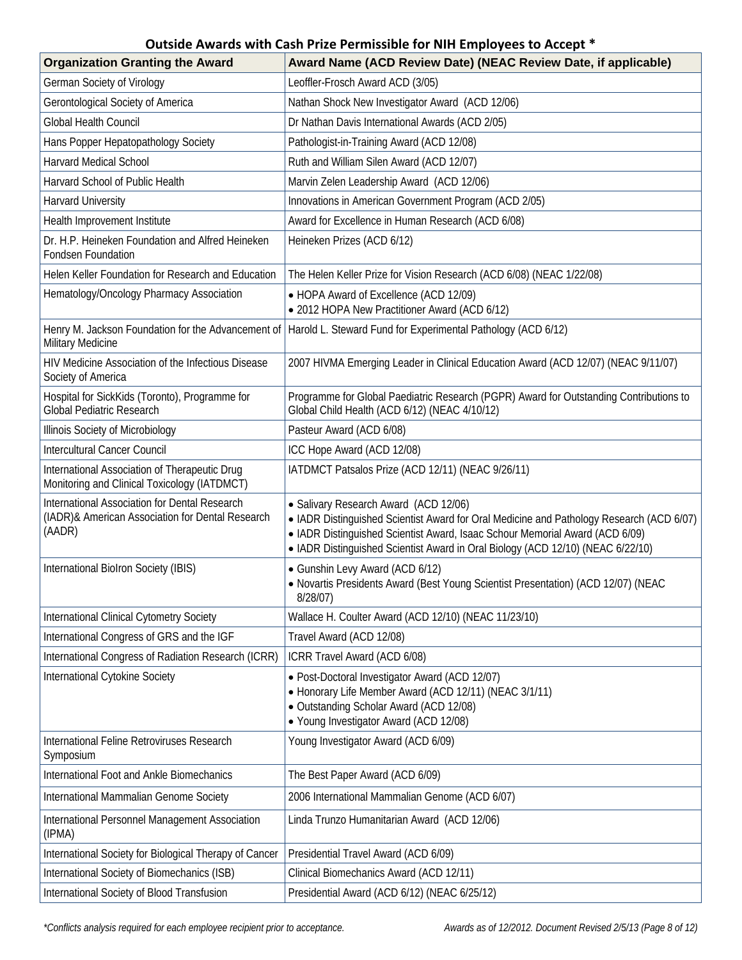| <b>Organization Granting the Award</b>                                                                      | Award Name (ACD Review Date) (NEAC Review Date, if applicable)                                                                                                                                                                                                                                       |
|-------------------------------------------------------------------------------------------------------------|------------------------------------------------------------------------------------------------------------------------------------------------------------------------------------------------------------------------------------------------------------------------------------------------------|
| German Society of Virology                                                                                  | Leoffler-Frosch Award ACD (3/05)                                                                                                                                                                                                                                                                     |
| Gerontological Society of America                                                                           | Nathan Shock New Investigator Award (ACD 12/06)                                                                                                                                                                                                                                                      |
| Global Health Council                                                                                       | Dr Nathan Davis International Awards (ACD 2/05)                                                                                                                                                                                                                                                      |
| Hans Popper Hepatopathology Society                                                                         | Pathologist-in-Training Award (ACD 12/08)                                                                                                                                                                                                                                                            |
| <b>Harvard Medical School</b>                                                                               | Ruth and William Silen Award (ACD 12/07)                                                                                                                                                                                                                                                             |
| Harvard School of Public Health                                                                             | Marvin Zelen Leadership Award (ACD 12/06)                                                                                                                                                                                                                                                            |
| <b>Harvard University</b>                                                                                   | Innovations in American Government Program (ACD 2/05)                                                                                                                                                                                                                                                |
| Health Improvement Institute                                                                                | Award for Excellence in Human Research (ACD 6/08)                                                                                                                                                                                                                                                    |
| Dr. H.P. Heineken Foundation and Alfred Heineken<br><b>Fondsen Foundation</b>                               | Heineken Prizes (ACD 6/12)                                                                                                                                                                                                                                                                           |
| Helen Keller Foundation for Research and Education                                                          | The Helen Keller Prize for Vision Research (ACD 6/08) (NEAC 1/22/08)                                                                                                                                                                                                                                 |
| Hematology/Oncology Pharmacy Association                                                                    | • HOPA Award of Excellence (ACD 12/09)<br>• 2012 HOPA New Practitioner Award (ACD 6/12)                                                                                                                                                                                                              |
| Henry M. Jackson Foundation for the Advancement of<br>Military Medicine                                     | Harold L. Steward Fund for Experimental Pathology (ACD 6/12)                                                                                                                                                                                                                                         |
| HIV Medicine Association of the Infectious Disease<br>Society of America                                    | 2007 HIVMA Emerging Leader in Clinical Education Award (ACD 12/07) (NEAC 9/11/07)                                                                                                                                                                                                                    |
| Hospital for SickKids (Toronto), Programme for<br>Global Pediatric Research                                 | Programme for Global Paediatric Research (PGPR) Award for Outstanding Contributions to<br>Global Child Health (ACD 6/12) (NEAC 4/10/12)                                                                                                                                                              |
| Illinois Society of Microbiology                                                                            | Pasteur Award (ACD 6/08)                                                                                                                                                                                                                                                                             |
| Intercultural Cancer Council                                                                                | ICC Hope Award (ACD 12/08)                                                                                                                                                                                                                                                                           |
| International Association of Therapeutic Drug<br>Monitoring and Clinical Toxicology (IATDMCT)               | IATDMCT Patsalos Prize (ACD 12/11) (NEAC 9/26/11)                                                                                                                                                                                                                                                    |
| International Association for Dental Research<br>(IADR)& American Association for Dental Research<br>(AADR) | • Salivary Research Award (ACD 12/06)<br>• IADR Distinguished Scientist Award for Oral Medicine and Pathology Research (ACD 6/07)<br>• IADR Distinguished Scientist Award, Isaac Schour Memorial Award (ACD 6/09)<br>• IADR Distinguished Scientist Award in Oral Biology (ACD 12/10) (NEAC 6/22/10) |
| International Biolron Society (IBIS)                                                                        | • Gunshin Levy Award (ACD 6/12)<br>• Novartis Presidents Award (Best Young Scientist Presentation) (ACD 12/07) (NEAC<br>8/28/07)                                                                                                                                                                     |
| International Clinical Cytometry Society                                                                    | Wallace H. Coulter Award (ACD 12/10) (NEAC 11/23/10)                                                                                                                                                                                                                                                 |
| International Congress of GRS and the IGF                                                                   | Travel Award (ACD 12/08)                                                                                                                                                                                                                                                                             |
| International Congress of Radiation Research (ICRR)                                                         | ICRR Travel Award (ACD 6/08)                                                                                                                                                                                                                                                                         |
| International Cytokine Society                                                                              | · Post-Doctoral Investigator Award (ACD 12/07)<br>• Honorary Life Member Award (ACD 12/11) (NEAC 3/1/11)<br>• Outstanding Scholar Award (ACD 12/08)<br>• Young Investigator Award (ACD 12/08)                                                                                                        |
| International Feline Retroviruses Research<br>Symposium                                                     | Young Investigator Award (ACD 6/09)                                                                                                                                                                                                                                                                  |
| International Foot and Ankle Biomechanics                                                                   | The Best Paper Award (ACD 6/09)                                                                                                                                                                                                                                                                      |
| International Mammalian Genome Society                                                                      | 2006 International Mammalian Genome (ACD 6/07)                                                                                                                                                                                                                                                       |
| International Personnel Management Association<br>(IPMA)                                                    | Linda Trunzo Humanitarian Award (ACD 12/06)                                                                                                                                                                                                                                                          |
| International Society for Biological Therapy of Cancer                                                      | Presidential Travel Award (ACD 6/09)                                                                                                                                                                                                                                                                 |
| International Society of Biomechanics (ISB)                                                                 | Clinical Biomechanics Award (ACD 12/11)                                                                                                                                                                                                                                                              |
| International Society of Blood Transfusion                                                                  | Presidential Award (ACD 6/12) (NEAC 6/25/12)                                                                                                                                                                                                                                                         |

*\*Conflicts analysis required for each employee recipient prior to acceptance. Awards as of 12/2012. Document Revised 2/5/13 (Page 8 of 12)*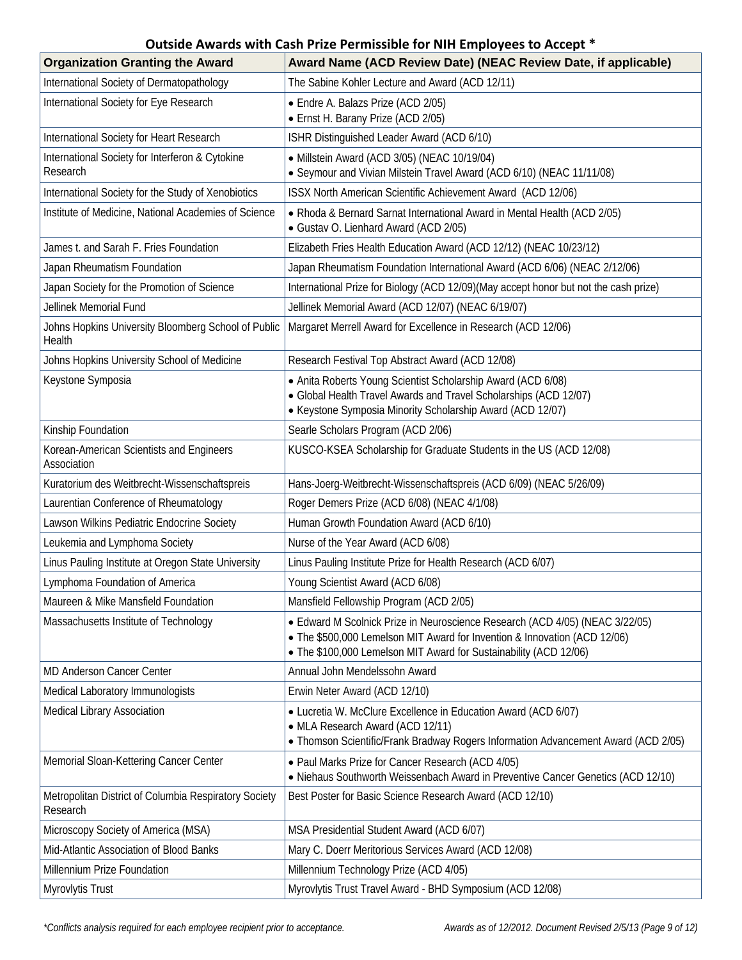| <b>Organization Granting the Award</b>                            | Award Name (ACD Review Date) (NEAC Review Date, if applicable)                                                                                                                                                                 |
|-------------------------------------------------------------------|--------------------------------------------------------------------------------------------------------------------------------------------------------------------------------------------------------------------------------|
| International Society of Dermatopathology                         | The Sabine Kohler Lecture and Award (ACD 12/11)                                                                                                                                                                                |
| International Society for Eye Research                            | • Endre A. Balazs Prize (ACD 2/05)<br>• Ernst H. Barany Prize (ACD 2/05)                                                                                                                                                       |
| International Society for Heart Research                          | ISHR Distinguished Leader Award (ACD 6/10)                                                                                                                                                                                     |
| International Society for Interferon & Cytokine<br>Research       | • Millstein Award (ACD 3/05) (NEAC 10/19/04)<br>• Seymour and Vivian Milstein Travel Award (ACD 6/10) (NEAC 11/11/08)                                                                                                          |
| International Society for the Study of Xenobiotics                | ISSX North American Scientific Achievement Award (ACD 12/06)                                                                                                                                                                   |
| Institute of Medicine, National Academies of Science              | • Rhoda & Bernard Sarnat International Award in Mental Health (ACD 2/05)<br>• Gustav O. Lienhard Award (ACD 2/05)                                                                                                              |
| James t. and Sarah F. Fries Foundation                            | Elizabeth Fries Health Education Award (ACD 12/12) (NEAC 10/23/12)                                                                                                                                                             |
| Japan Rheumatism Foundation                                       | Japan Rheumatism Foundation International Award (ACD 6/06) (NEAC 2/12/06)                                                                                                                                                      |
| Japan Society for the Promotion of Science                        | International Prize for Biology (ACD 12/09)(May accept honor but not the cash prize)                                                                                                                                           |
| Jellinek Memorial Fund                                            | Jellinek Memorial Award (ACD 12/07) (NEAC 6/19/07)                                                                                                                                                                             |
| Johns Hopkins University Bloomberg School of Public<br>Health     | Margaret Merrell Award for Excellence in Research (ACD 12/06)                                                                                                                                                                  |
| Johns Hopkins University School of Medicine                       | Research Festival Top Abstract Award (ACD 12/08)                                                                                                                                                                               |
| Keystone Symposia                                                 | • Anita Roberts Young Scientist Scholarship Award (ACD 6/08)<br>• Global Health Travel Awards and Travel Scholarships (ACD 12/07)<br>• Keystone Symposia Minority Scholarship Award (ACD 12/07)                                |
| Kinship Foundation                                                | Searle Scholars Program (ACD 2/06)                                                                                                                                                                                             |
| Korean-American Scientists and Engineers<br>Association           | KUSCO-KSEA Scholarship for Graduate Students in the US (ACD 12/08)                                                                                                                                                             |
| Kuratorium des Weitbrecht-Wissenschaftspreis                      | Hans-Joerg-Weitbrecht-Wissenschaftspreis (ACD 6/09) (NEAC 5/26/09)                                                                                                                                                             |
| Laurentian Conference of Rheumatology                             | Roger Demers Prize (ACD 6/08) (NEAC 4/1/08)                                                                                                                                                                                    |
| Lawson Wilkins Pediatric Endocrine Society                        | Human Growth Foundation Award (ACD 6/10)                                                                                                                                                                                       |
| Leukemia and Lymphoma Society                                     | Nurse of the Year Award (ACD 6/08)                                                                                                                                                                                             |
| Linus Pauling Institute at Oregon State University                | Linus Pauling Institute Prize for Health Research (ACD 6/07)                                                                                                                                                                   |
| Lymphoma Foundation of America                                    | Young Scientist Award (ACD 6/08)                                                                                                                                                                                               |
| Maureen & Mike Mansfield Foundation                               | Mansfield Fellowship Program (ACD 2/05)                                                                                                                                                                                        |
| Massachusetts Institute of Technology                             | • Edward M Scolnick Prize in Neuroscience Research (ACD 4/05) (NEAC 3/22/05)<br>• The \$500,000 Lemelson MIT Award for Invention & Innovation (ACD 12/06)<br>• The \$100,000 Lemelson MIT Award for Sustainability (ACD 12/06) |
| <b>MD Anderson Cancer Center</b>                                  | Annual John Mendelssohn Award                                                                                                                                                                                                  |
| Medical Laboratory Immunologists                                  | Erwin Neter Award (ACD 12/10)                                                                                                                                                                                                  |
| <b>Medical Library Association</b>                                | • Lucretia W. McClure Excellence in Education Award (ACD 6/07)<br>• MLA Research Award (ACD 12/11)<br>• Thomson Scientific/Frank Bradway Rogers Information Advancement Award (ACD 2/05)                                       |
| Memorial Sloan-Kettering Cancer Center                            | • Paul Marks Prize for Cancer Research (ACD 4/05)<br>• Niehaus Southworth Weissenbach Award in Preventive Cancer Genetics (ACD 12/10)                                                                                          |
| Metropolitan District of Columbia Respiratory Society<br>Research | Best Poster for Basic Science Research Award (ACD 12/10)                                                                                                                                                                       |
| Microscopy Society of America (MSA)                               | MSA Presidential Student Award (ACD 6/07)                                                                                                                                                                                      |
| Mid-Atlantic Association of Blood Banks                           | Mary C. Doerr Meritorious Services Award (ACD 12/08)                                                                                                                                                                           |
| Millennium Prize Foundation                                       | Millennium Technology Prize (ACD 4/05)                                                                                                                                                                                         |
| Myrovlytis Trust                                                  | Myrovlytis Trust Travel Award - BHD Symposium (ACD 12/08)                                                                                                                                                                      |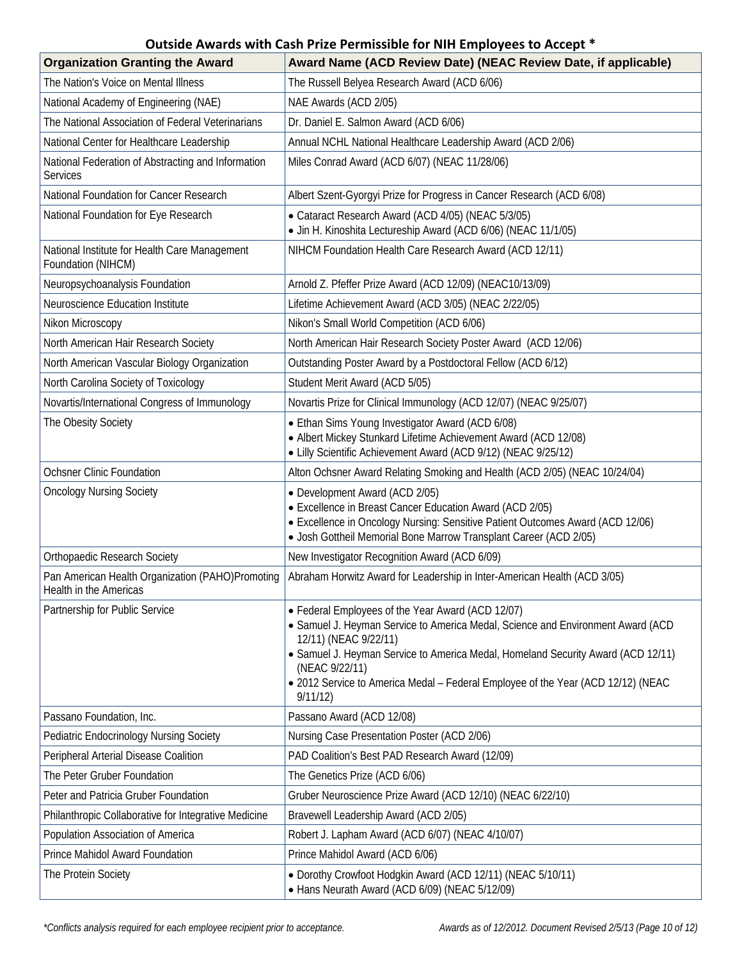| <b>Organization Granting the Award</b>                                     | Award Name (ACD Review Date) (NEAC Review Date, if applicable)                                                                                                                                                                                                                                                                                                      |
|----------------------------------------------------------------------------|---------------------------------------------------------------------------------------------------------------------------------------------------------------------------------------------------------------------------------------------------------------------------------------------------------------------------------------------------------------------|
| The Nation's Voice on Mental Illness                                       | The Russell Belyea Research Award (ACD 6/06)                                                                                                                                                                                                                                                                                                                        |
| National Academy of Engineering (NAE)                                      | NAE Awards (ACD 2/05)                                                                                                                                                                                                                                                                                                                                               |
| The National Association of Federal Veterinarians                          | Dr. Daniel E. Salmon Award (ACD 6/06)                                                                                                                                                                                                                                                                                                                               |
| National Center for Healthcare Leadership                                  | Annual NCHL National Healthcare Leadership Award (ACD 2/06)                                                                                                                                                                                                                                                                                                         |
| National Federation of Abstracting and Information<br>Services             | Miles Conrad Award (ACD 6/07) (NEAC 11/28/06)                                                                                                                                                                                                                                                                                                                       |
| National Foundation for Cancer Research                                    | Albert Szent-Gyorgyi Prize for Progress in Cancer Research (ACD 6/08)                                                                                                                                                                                                                                                                                               |
| National Foundation for Eye Research                                       | • Cataract Research Award (ACD 4/05) (NEAC 5/3/05)<br>• Jin H. Kinoshita Lectureship Award (ACD 6/06) (NEAC 11/1/05)                                                                                                                                                                                                                                                |
| National Institute for Health Care Management<br>Foundation (NIHCM)        | NIHCM Foundation Health Care Research Award (ACD 12/11)                                                                                                                                                                                                                                                                                                             |
| Neuropsychoanalysis Foundation                                             | Arnold Z. Pfeffer Prize Award (ACD 12/09) (NEAC10/13/09)                                                                                                                                                                                                                                                                                                            |
| Neuroscience Education Institute                                           | Lifetime Achievement Award (ACD 3/05) (NEAC 2/22/05)                                                                                                                                                                                                                                                                                                                |
| Nikon Microscopy                                                           | Nikon's Small World Competition (ACD 6/06)                                                                                                                                                                                                                                                                                                                          |
| North American Hair Research Society                                       | North American Hair Research Society Poster Award (ACD 12/06)                                                                                                                                                                                                                                                                                                       |
| North American Vascular Biology Organization                               | Outstanding Poster Award by a Postdoctoral Fellow (ACD 6/12)                                                                                                                                                                                                                                                                                                        |
| North Carolina Society of Toxicology                                       | Student Merit Award (ACD 5/05)                                                                                                                                                                                                                                                                                                                                      |
| Novartis/International Congress of Immunology                              | Novartis Prize for Clinical Immunology (ACD 12/07) (NEAC 9/25/07)                                                                                                                                                                                                                                                                                                   |
| The Obesity Society                                                        | • Ethan Sims Young Investigator Award (ACD 6/08)<br>• Albert Mickey Stunkard Lifetime Achievement Award (ACD 12/08)<br>• Lilly Scientific Achievement Award (ACD 9/12) (NEAC 9/25/12)                                                                                                                                                                               |
| <b>Ochsner Clinic Foundation</b>                                           | Alton Ochsner Award Relating Smoking and Health (ACD 2/05) (NEAC 10/24/04)                                                                                                                                                                                                                                                                                          |
| <b>Oncology Nursing Society</b>                                            | • Development Award (ACD 2/05)<br>• Excellence in Breast Cancer Education Award (ACD 2/05)<br>• Excellence in Oncology Nursing: Sensitive Patient Outcomes Award (ACD 12/06)<br>· Josh Gottheil Memorial Bone Marrow Transplant Career (ACD 2/05)                                                                                                                   |
| <b>Orthopaedic Research Society</b>                                        | New Investigator Recognition Award (ACD 6/09)                                                                                                                                                                                                                                                                                                                       |
| Pan American Health Organization (PAHO)Promoting<br>Health in the Americas | Abraham Horwitz Award for Leadership in Inter-American Health (ACD 3/05)                                                                                                                                                                                                                                                                                            |
| Partnership for Public Service                                             | • Federal Employees of the Year Award (ACD 12/07)<br>• Samuel J. Heyman Service to America Medal, Science and Environment Award (ACD<br>12/11) (NEAC 9/22/11)<br>• Samuel J. Heyman Service to America Medal, Homeland Security Award (ACD 12/11)<br>(NEAC 9/22/11)<br>• 2012 Service to America Medal - Federal Employee of the Year (ACD 12/12) (NEAC<br>9/11/12) |
| Passano Foundation, Inc.                                                   | Passano Award (ACD 12/08)                                                                                                                                                                                                                                                                                                                                           |
| <b>Pediatric Endocrinology Nursing Society</b>                             | Nursing Case Presentation Poster (ACD 2/06)                                                                                                                                                                                                                                                                                                                         |
| Peripheral Arterial Disease Coalition                                      | PAD Coalition's Best PAD Research Award (12/09)                                                                                                                                                                                                                                                                                                                     |
| The Peter Gruber Foundation                                                | The Genetics Prize (ACD 6/06)                                                                                                                                                                                                                                                                                                                                       |
| Peter and Patricia Gruber Foundation                                       | Gruber Neuroscience Prize Award (ACD 12/10) (NEAC 6/22/10)                                                                                                                                                                                                                                                                                                          |
| Philanthropic Collaborative for Integrative Medicine                       | Bravewell Leadership Award (ACD 2/05)                                                                                                                                                                                                                                                                                                                               |
| Population Association of America                                          | Robert J. Lapham Award (ACD 6/07) (NEAC 4/10/07)                                                                                                                                                                                                                                                                                                                    |
| Prince Mahidol Award Foundation                                            | Prince Mahidol Award (ACD 6/06)                                                                                                                                                                                                                                                                                                                                     |
| The Protein Society                                                        | • Dorothy Crowfoot Hodgkin Award (ACD 12/11) (NEAC 5/10/11)<br>• Hans Neurath Award (ACD 6/09) (NEAC 5/12/09)                                                                                                                                                                                                                                                       |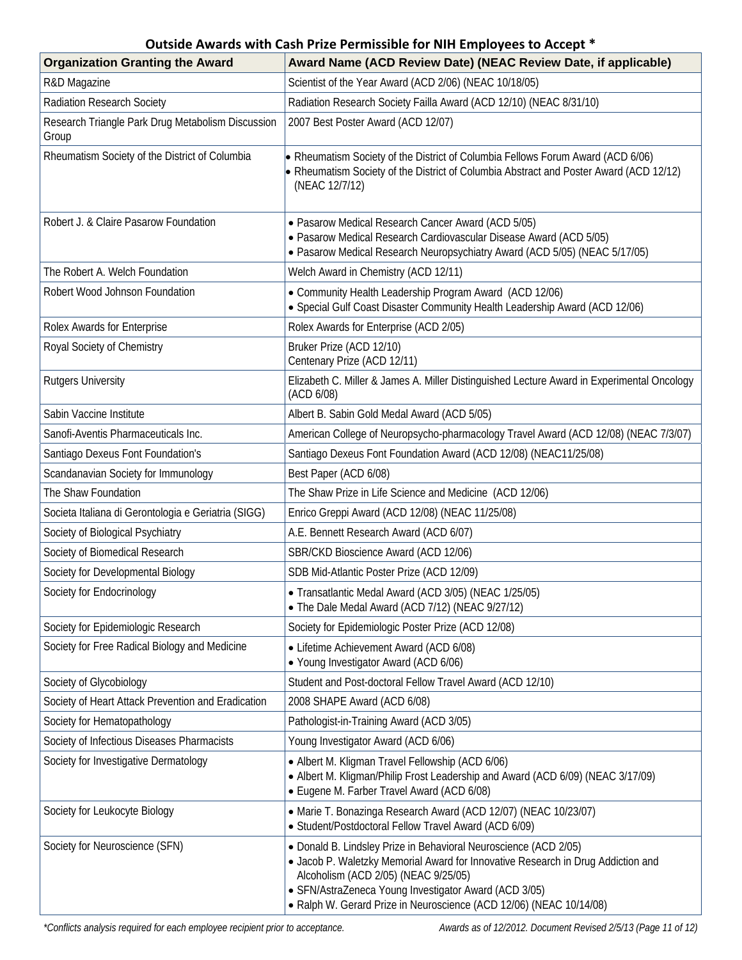| <b>Organization Granting the Award</b>                     | Award Name (ACD Review Date) (NEAC Review Date, if applicable)                                                                                                                                                                                                                                                               |
|------------------------------------------------------------|------------------------------------------------------------------------------------------------------------------------------------------------------------------------------------------------------------------------------------------------------------------------------------------------------------------------------|
| R&D Magazine                                               | Scientist of the Year Award (ACD 2/06) (NEAC 10/18/05)                                                                                                                                                                                                                                                                       |
| Radiation Research Society                                 | Radiation Research Society Failla Award (ACD 12/10) (NEAC 8/31/10)                                                                                                                                                                                                                                                           |
| Research Triangle Park Drug Metabolism Discussion<br>Group | 2007 Best Poster Award (ACD 12/07)                                                                                                                                                                                                                                                                                           |
| Rheumatism Society of the District of Columbia             | • Rheumatism Society of the District of Columbia Fellows Forum Award (ACD 6/06)<br>• Rheumatism Society of the District of Columbia Abstract and Poster Award (ACD 12/12)<br>(NEAC 12/7/12)                                                                                                                                  |
| Robert J. & Claire Pasarow Foundation                      | • Pasarow Medical Research Cancer Award (ACD 5/05)<br>· Pasarow Medical Research Cardiovascular Disease Award (ACD 5/05)<br>• Pasarow Medical Research Neuropsychiatry Award (ACD 5/05) (NEAC 5/17/05)                                                                                                                       |
| The Robert A. Welch Foundation                             | Welch Award in Chemistry (ACD 12/11)                                                                                                                                                                                                                                                                                         |
| Robert Wood Johnson Foundation                             | • Community Health Leadership Program Award (ACD 12/06)<br>• Special Gulf Coast Disaster Community Health Leadership Award (ACD 12/06)                                                                                                                                                                                       |
| Rolex Awards for Enterprise                                | Rolex Awards for Enterprise (ACD 2/05)                                                                                                                                                                                                                                                                                       |
| Royal Society of Chemistry                                 | Bruker Prize (ACD 12/10)<br>Centenary Prize (ACD 12/11)                                                                                                                                                                                                                                                                      |
| <b>Rutgers University</b>                                  | Elizabeth C. Miller & James A. Miller Distinguished Lecture Award in Experimental Oncology<br>(ACD 6/08)                                                                                                                                                                                                                     |
| Sabin Vaccine Institute                                    | Albert B. Sabin Gold Medal Award (ACD 5/05)                                                                                                                                                                                                                                                                                  |
| Sanofi-Aventis Pharmaceuticals Inc.                        | American College of Neuropsycho-pharmacology Travel Award (ACD 12/08) (NEAC 7/3/07)                                                                                                                                                                                                                                          |
| Santiago Dexeus Font Foundation's                          | Santiago Dexeus Font Foundation Award (ACD 12/08) (NEAC11/25/08)                                                                                                                                                                                                                                                             |
| Scandanavian Society for Immunology                        | Best Paper (ACD 6/08)                                                                                                                                                                                                                                                                                                        |
| The Shaw Foundation                                        | The Shaw Prize in Life Science and Medicine (ACD 12/06)                                                                                                                                                                                                                                                                      |
| Societa Italiana di Gerontologia e Geriatria (SIGG)        | Enrico Greppi Award (ACD 12/08) (NEAC 11/25/08)                                                                                                                                                                                                                                                                              |
| Society of Biological Psychiatry                           | A.E. Bennett Research Award (ACD 6/07)                                                                                                                                                                                                                                                                                       |
| Society of Biomedical Research                             | SBR/CKD Bioscience Award (ACD 12/06)                                                                                                                                                                                                                                                                                         |
| Society for Developmental Biology                          | SDB Mid-Atlantic Poster Prize (ACD 12/09)                                                                                                                                                                                                                                                                                    |
| Society for Endocrinology                                  | • Transatlantic Medal Award (ACD 3/05) (NEAC 1/25/05)<br>• The Dale Medal Award (ACD 7/12) (NEAC 9/27/12)                                                                                                                                                                                                                    |
| Society for Epidemiologic Research                         | Society for Epidemiologic Poster Prize (ACD 12/08)                                                                                                                                                                                                                                                                           |
| Society for Free Radical Biology and Medicine              | • Lifetime Achievement Award (ACD 6/08)<br>• Young Investigator Award (ACD 6/06)                                                                                                                                                                                                                                             |
| Society of Glycobiology                                    | Student and Post-doctoral Fellow Travel Award (ACD 12/10)                                                                                                                                                                                                                                                                    |
| Society of Heart Attack Prevention and Eradication         | 2008 SHAPE Award (ACD 6/08)                                                                                                                                                                                                                                                                                                  |
| Society for Hematopathology                                | Pathologist-in-Training Award (ACD 3/05)                                                                                                                                                                                                                                                                                     |
| Society of Infectious Diseases Pharmacists                 | Young Investigator Award (ACD 6/06)                                                                                                                                                                                                                                                                                          |
| Society for Investigative Dermatology                      | • Albert M. Kligman Travel Fellowship (ACD 6/06)<br>• Albert M. Kligman/Philip Frost Leadership and Award (ACD 6/09) (NEAC 3/17/09)<br>• Eugene M. Farber Travel Award (ACD 6/08)                                                                                                                                            |
| Society for Leukocyte Biology                              | • Marie T. Bonazinga Research Award (ACD 12/07) (NEAC 10/23/07)<br>· Student/Postdoctoral Fellow Travel Award (ACD 6/09)                                                                                                                                                                                                     |
| Society for Neuroscience (SFN)                             | • Donald B. Lindsley Prize in Behavioral Neuroscience (ACD 2/05)<br>• Jacob P. Waletzky Memorial Award for Innovative Research in Drug Addiction and<br>Alcoholism (ACD 2/05) (NEAC 9/25/05)<br>• SFN/AstraZeneca Young Investigator Award (ACD 3/05)<br>• Ralph W. Gerard Prize in Neuroscience (ACD 12/06) (NEAC 10/14/08) |

*\*Conflicts analysis required for each employee recipient prior to acceptance. Awards as of 12/2012. Document Revised 2/5/13 (Page 11 of 12)*